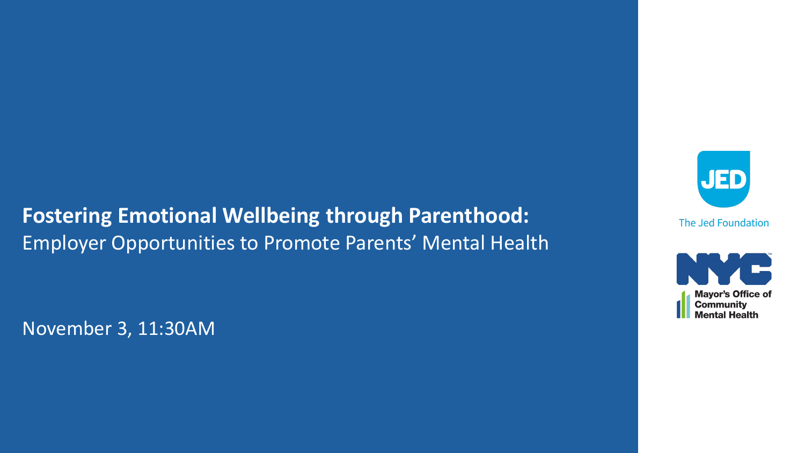### **Fostering Emotional Wellbeing through Parenthood:**  Employer Opportunities to Promote Parents' Mental Health

November 3, 11:30AM



The Jed Foundation

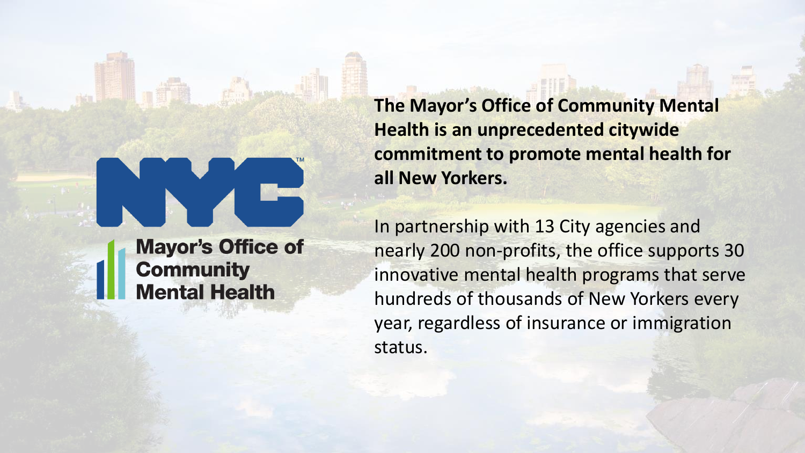**Mayor's Office of Community Mental Health** 

**The Mayor's Office of Community Mental Health is an unprecedented citywide commitment to promote mental health for all New Yorkers.** 

In partnership with 13 City agencies and nearly 200 non-profits, the office supports 30 innovative mental health programs that serve hundreds of thousands of New Yorkers every year, regardless of insurance or immigration status.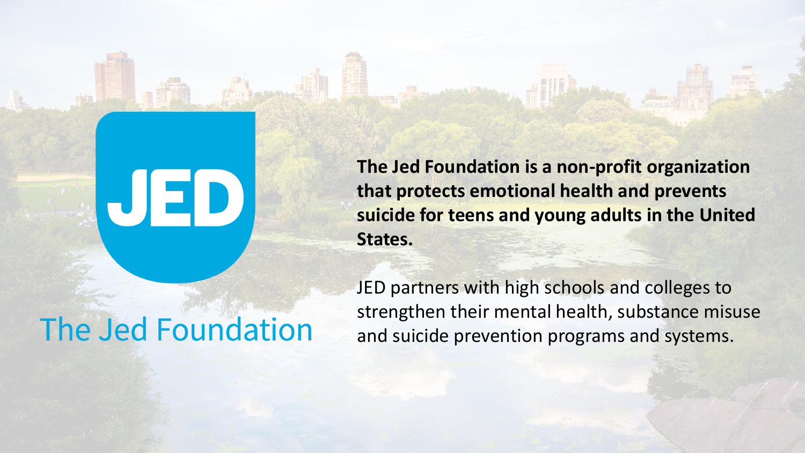**The Jed Foundation is a non-profit organization that protects emotional health and prevents suicide for teens and young adults in the United States.** 

# The Jed Foundation

UED

JED partners with high schools and colleges to strengthen their mental health, substance misuse and suicide prevention programs and systems.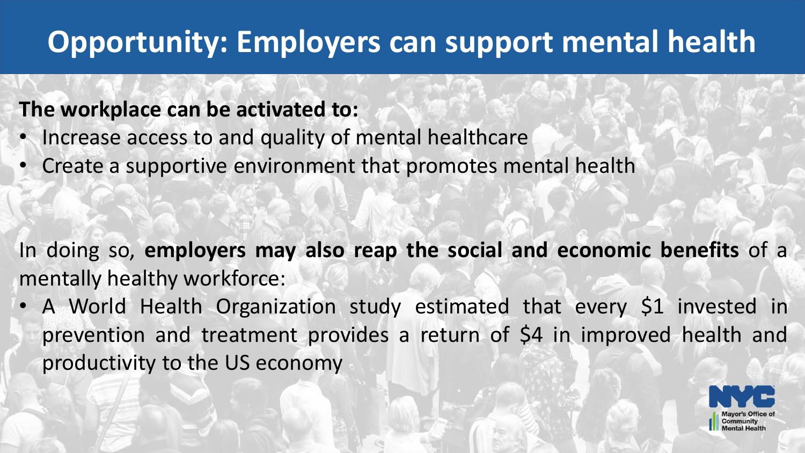# **Opportunity: Employers can support mental health**

### **The workplace can be activated to:**

- Increase access to and quality of mental healthcare
- Create a supportive environment that promotes mental health

In doing so, **employers may also reap the social and economic benefits** of a mentally healthy workforce:

• A World Health Organization study estimated that every \$1 invested in prevention and treatment provides a return of \$4 in improved health and productivity to the US economy

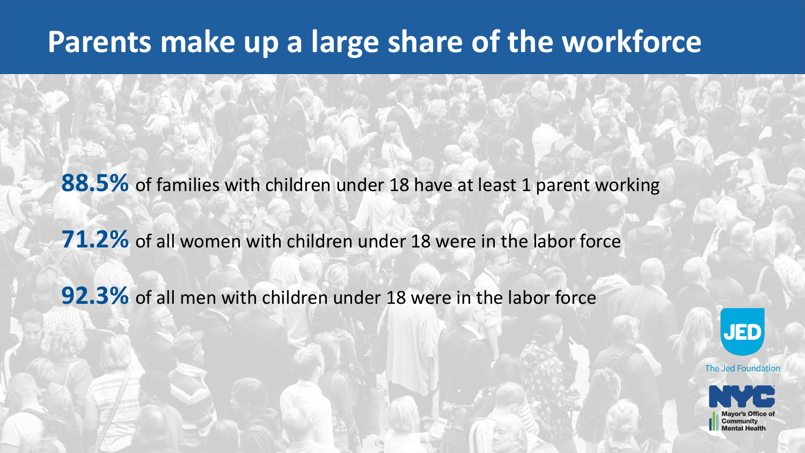## **Parents make up a large share of the workforce**

**88.5%** of families with children under 18 have at least 1 parent working

**71.2%** of all women with children under 18 were in the labor force

**92.3%** of all men with children under 18 were in the labor force



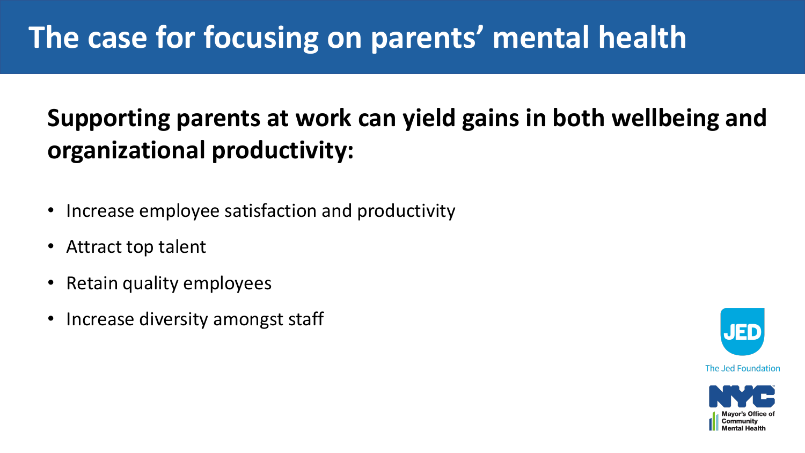## **Supporting parents at work can yield gains in both wellbeing and organizational productivity:**

- Increase employee satisfaction and productivity
- Attract top talent
- Retain quality employees
- Increase diversity amongst staff



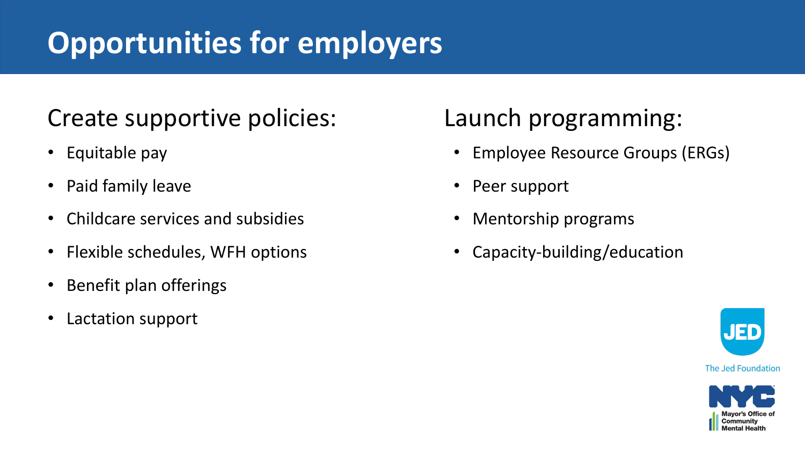# **Opportunities for employers**

## Create supportive policies:

- Equitable pay
- Paid family leave
- Childcare services and subsidies
- Flexible schedules, WFH options
- Benefit plan offerings
- Lactation support

## Launch programming:

- Employee Resource Groups (ERGs)
- Peer support
- Mentorship programs
- Capacity-building/education



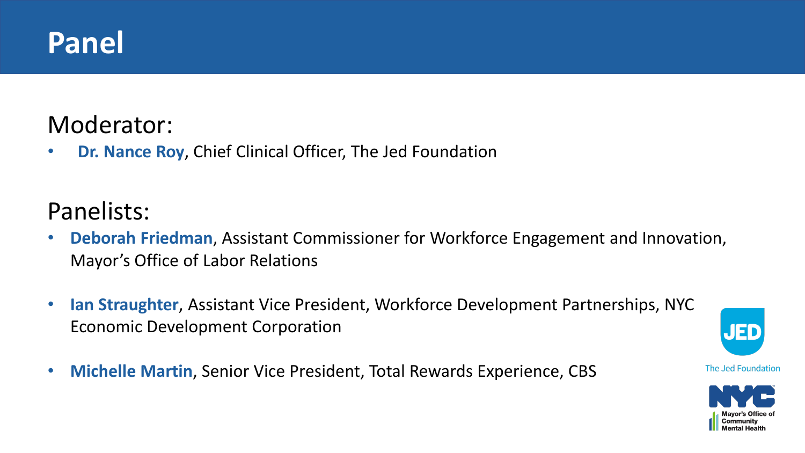## **Panel**

### Moderator:

• **Dr. Nance Roy**, Chief Clinical Officer, The Jed Foundation

## Panelists:

- **Deborah Friedman**, Assistant Commissioner for Workforce Engagement and Innovation, Mayor's Office of Labor Relations
- **Ian Straughter**, Assistant Vice President, Workforce Development Partnerships, NYC Economic Development Corporation
- **Michelle Martin**, Senior Vice President, Total Rewards Experience, CBS



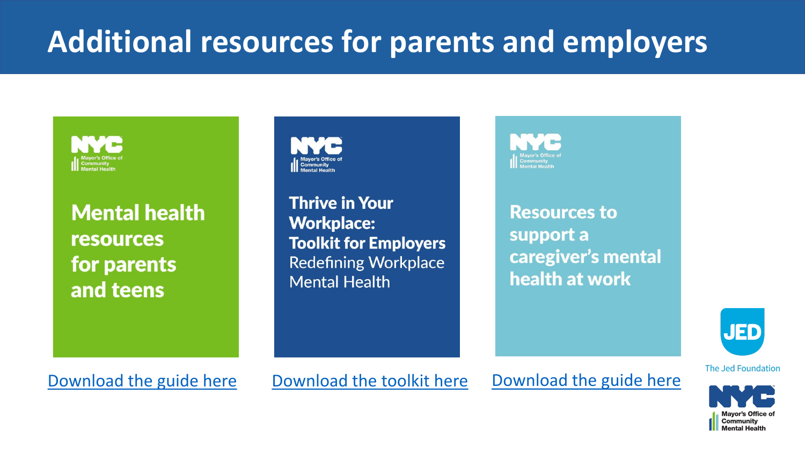# **Additional resources for parents and employers**



**Mental health resources** for parents and teens



**Thrive in Your Workplace: Toolkit for Employers Redefining Workplace Mental Health** 

**Resources to** support a caregiver's mental health at work



[Download the guide here](https://mentalhealth.cityofnewyork.us/resource-guides-toolkits/resource-guides/resources-to-support-a-caregivers-mental-health-at-work) [Download the toolkit here](https://mentalhealth.cityofnewyork.us/wp-content/uploads/2019/12/ThriveInYourWorkplace-Toolkit_September-2019.pdf) Download the guide here